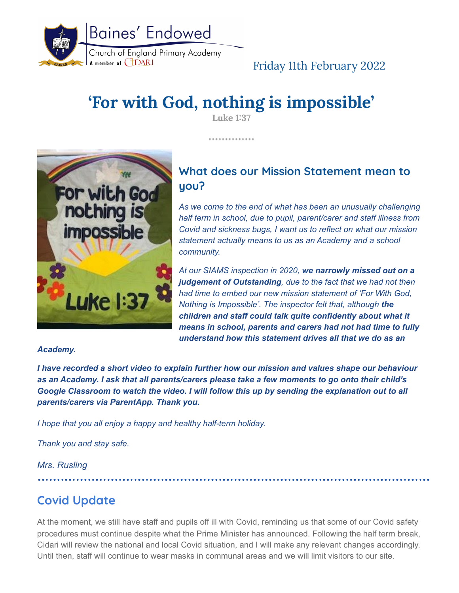

# Friday 11th February 2022

# **'For with God, nothing is impossible'**

**Luke 1:37**

. . . . . . . . . . . . . .



# **What does our Mission Statement mean to you?**

*As we come to the end of what has been an unusually challenging half term in school, due to pupil, parent/carer and staff illness from Covid and sickness bugs, I want us to reflect on what our mission statement actually means to us as an Academy and a school community.*

*At our SIAMS inspection in 2020, we narrowly missed out on a judgement of Outstanding, due to the fact that we had not then had time to embed our new mission statement of 'For With God, Nothing is Impossible'. The inspector felt that, although the children and staff could talk quite confidently about what it means in school, parents and carers had not had time to fully understand how this statement drives all that we do as an*

#### *Academy.*

*I have recorded a short video to explain further how our mission and values shape our behaviour as an Academy. I ask that all parents/carers please take a few moments to go onto their child's Google Classroom to watch the video. I will follow this up by sending the explanation out to all parents/carers via ParentApp. Thank you.*

*I hope that you all enjoy a happy and healthy half-term holiday.*

*Thank you and stay safe.*

*Mrs. Rusling*

# **Covid Update**

At the moment, we still have staff and pupils off ill with Covid, reminding us that some of our Covid safety procedures must continue despite what the Prime Minister has announced. Following the half term break, Cidari will review the national and local Covid situation, and I will make any relevant changes accordingly. Until then, staff will continue to wear masks in communal areas and we will limit visitors to our site.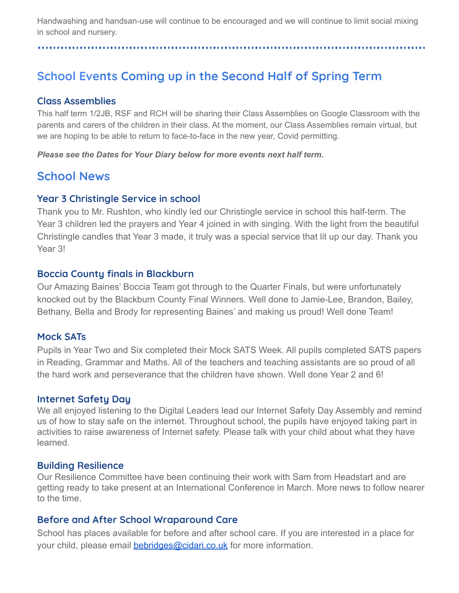Handwashing and handsan-use will continue to be encouraged and we will continue to limit social mixing in school and nursery.

#### 

# **School Events Coming up in the Second Half of Spring Term**

### **Class Assemblies**

This half term 1/2JB, RSF and RCH will be sharing their Class Assemblies on Google Classroom with the parents and carers of the children in their class. At the moment, our Class Assemblies remain virtual, but we are hoping to be able to return to face-to-face in the new year, Covid permitting.

*Please see the Dates for Your Diary below for more events next half term.*

# **School News**

## **Year 3 Christingle Service in school**

Thank you to Mr. Rushton, who kindly led our Christingle service in school this half-term. The Year 3 children led the prayers and Year 4 joined in with singing. With the light from the beautiful Christingle candles that Year 3 made, it truly was a special service that lit up our day. Thank you Year 3!

## **Boccia County finals in Blackburn**

Our Amazing Baines' Boccia Team got through to the Quarter Finals, but were unfortunately knocked out by the Blackburn County Final Winners. Well done to Jamie-Lee, Brandon, Bailey, Bethany, Bella and Brody for representing Baines' and making us proud! Well done Team!

## **Mock SATs**

Pupils in Year Two and Six completed their Mock SATS Week. All pupils completed SATS papers in Reading, Grammar and Maths. All of the teachers and teaching assistants are so proud of all the hard work and perseverance that the children have shown. Well done Year 2 and 6!

## **Internet Safety Day**

We all enjoyed listening to the Digital Leaders lead our Internet Safety Day Assembly and remind us of how to stay safe on the internet. Throughout school, the pupils have enjoyed taking part in activities to raise awareness of Internet safety. Please talk with your child about what they have learned.

## **Building Resilience**

Our Resilience Committee have been continuing their work with Sam from Headstart and are getting ready to take present at an International Conference in March. More news to follow nearer to the time.

## **Before and After School Wraparound Care**

School has places available for before and after school care. If you are interested in a place for your child, please email **[bebridges@cidari.co.uk](mailto:bebridges@cidari.co.uk)** for more information.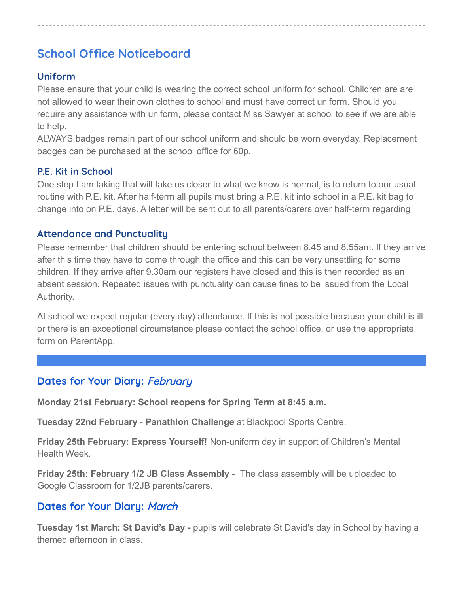# **School Office Noticeboard**

#### **Uniform**

Please ensure that your child is wearing the correct school uniform for school. Children are are not allowed to wear their own clothes to school and must have correct uniform. Should you require any assistance with uniform, please contact Miss Sawyer at school to see if we are able to help.

ALWAYS badges remain part of our school uniform and should be worn everyday. Replacement badges can be purchased at the school office for 60p.

#### **P.E. Kit in School**

One step I am taking that will take us closer to what we know is normal, is to return to our usual routine with P.E. kit. After half-term all pupils must bring a P.E. kit into school in a P.E. kit bag to change into on P.E. days. A letter will be sent out to all parents/carers over half-term regarding

#### **Attendance and Punctuality**

Please remember that children should be entering school between 8.45 and 8.55am. If they arrive after this time they have to come through the office and this can be very unsettling for some children. If they arrive after 9.30am our registers have closed and this is then recorded as an absent session. Repeated issues with punctuality can cause fines to be issued from the Local Authority.

At school we expect regular (every day) attendance. If this is not possible because your child is ill or there is an exceptional circumstance please contact the school office, or use the appropriate form on ParentApp.

#### **Dates for Your Diary:** February

**Monday 21st February: School reopens for Spring Term at 8:45 a.m.**

**Tuesday 22nd February** - **Panathlon Challenge** at Blackpool Sports Centre.

**Friday 25th February: Express Yourself!** Non-uniform day in support of Children's Mental Health Week.

**Friday 25th: February 1/2 JB Class Assembly -** The class assembly will be uploaded to Google Classroom for 1/2JB parents/carers.

#### **Dates for Your Diary:** March

**Tuesday 1st March: St David's Day -** pupils will celebrate St David's day in School by having a themed afternoon in class.